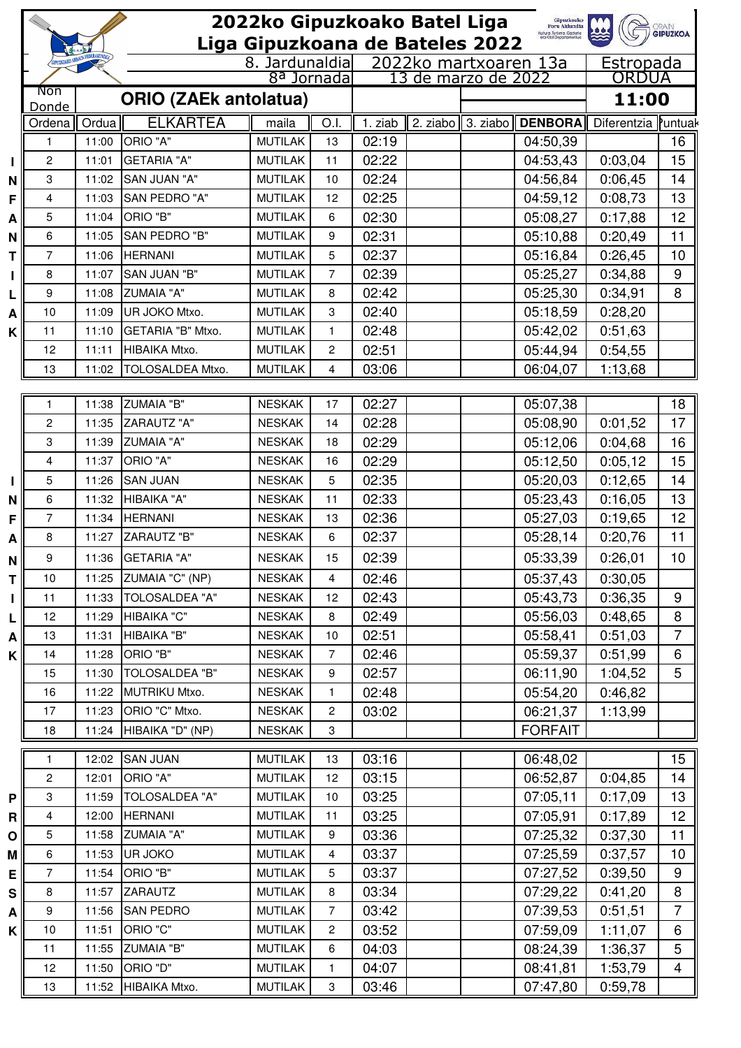|         |                                 |                                  |                                  | 2022ko Gipuzkoako Batel Liga     |                        |                |  |                       | Gipuzkoako<br>Foru Aldundia<br>Kutura, Turkma, Gazteria<br>eta Kesi Departamentua |                    | <b>GRAIN</b><br><b>GIPUZKOA</b> |
|---------|---------------------------------|----------------------------------|----------------------------------|----------------------------------|------------------------|----------------|--|-----------------------|-----------------------------------------------------------------------------------|--------------------|---------------------------------|
|         | Liga Gipuzkoana de Bateles 2022 |                                  |                                  |                                  |                        |                |  |                       |                                                                                   |                    |                                 |
|         |                                 | <b><i>GIPUZKOAKO ARRAUNI</i></b> |                                  |                                  | 8. Jardunaldia         |                |  | 2022ko martxoaren 13a |                                                                                   | Estropada          |                                 |
|         | <b>Non</b>                      |                                  |                                  |                                  | 8 <sup>a</sup> Jornada |                |  | 13 de marzo de 2022   |                                                                                   | ORDUA              |                                 |
|         | Donde                           | <b>ORIO (ZAEk antolatua)</b>     |                                  |                                  |                        |                |  | 11:00                 |                                                                                   |                    |                                 |
|         | Ordena                          | Ordua                            | <b>ELKARTEA</b>                  | maila                            | O.I.                   | 1. ziab        |  |                       | 2. ziabo $\parallel$ 3. ziabo $\parallel$ DENBORA $\parallel$                     | Diferentzia        | Puntuak                         |
|         | 1                               | 11:00                            | ORIO "A"                         | <b>MUTILAK</b>                   | 13                     | 02:19          |  |                       | 04:50,39                                                                          |                    | 16                              |
| L       | $\overline{c}$                  | 11:01                            | <b>GETARIA "A"</b>               | <b>MUTILAK</b>                   | 11                     | 02:22          |  |                       | 04:53,43                                                                          | 0:03,04            | 15                              |
| N       | 3                               | 11:02                            | SAN JUAN "A"                     | <b>MUTILAK</b>                   | 10                     | 02:24          |  |                       | 04:56,84                                                                          | 0:06,45            | 14                              |
| F       | 4                               | 11:03                            | SAN PEDRO "A"                    | <b>MUTILAK</b>                   | 12                     | 02:25          |  |                       | 04:59,12                                                                          | 0:08,73            | 13                              |
| Α       | 5                               | 11:04                            | ORIO "B"                         | <b>MUTILAK</b>                   | 6                      | 02:30          |  |                       | 05:08,27                                                                          | 0:17,88            | 12                              |
| N       | 6                               | 11:05                            | SAN PEDRO "B"                    | <b>MUTILAK</b>                   | 9                      | 02:31          |  |                       | 05:10,88                                                                          | 0:20,49            | 11                              |
| T       | 7                               | 11:06                            | <b>HERNANI</b>                   | <b>MUTILAK</b>                   | 5                      | 02:37          |  |                       | 05:16,84                                                                          | 0:26,45            | 10                              |
| L       | 8                               | 11:07                            | SAN JUAN "B"                     | <b>MUTILAK</b>                   | $\overline{7}$         | 02:39          |  |                       | 05:25,27                                                                          | 0:34,88            | $\boldsymbol{9}$                |
| L       | 9                               | 11:08                            | <b>ZUMAIA "A"</b>                | <b>MUTILAK</b>                   | 8                      | 02:42          |  |                       | 05:25,30                                                                          | 0:34,91            | 8                               |
| A       | 10                              | 11:09                            | UR JOKO Mtxo.                    | <b>MUTILAK</b>                   | 3                      | 02:40          |  |                       | 05:18,59                                                                          | 0:28,20            |                                 |
| K.      | 11                              | 11:10                            | GETARIA "B" Mtxo.                | <b>MUTILAK</b>                   | 1                      | 02:48          |  |                       | 05:42,02                                                                          | 0:51,63            |                                 |
|         | 12                              | 11:11                            | HIBAIKA Mtxo.                    | <b>MUTILAK</b>                   | 2                      | 02:51          |  |                       | 05:44,94                                                                          | 0:54,55            |                                 |
|         | 13                              | 11:02                            | TOLOSALDEA Mtxo.                 | <b>MUTILAK</b>                   | 4                      | 03:06          |  |                       | 06:04,07                                                                          | 1:13,68            |                                 |
|         |                                 |                                  |                                  |                                  |                        |                |  |                       |                                                                                   |                    |                                 |
|         | 1                               | 11:38<br>11:35                   | <b>ZUMAIA "B"</b><br>ZARAUTZ "A" | <b>NESKAK</b><br><b>NESKAK</b>   | 17                     | 02:27          |  |                       | 05:07,38                                                                          |                    | 18<br>17                        |
|         | $\overline{c}$<br>3             | 11:39                            | <b>ZUMAIA "A"</b>                | <b>NESKAK</b>                    | 14<br>18               | 02:28<br>02:29 |  |                       | 05:08,90<br>05:12,06                                                              | 0:01,52            | 16                              |
|         | 4                               | 11:37                            | ORIO "A"                         | <b>NESKAK</b>                    | 16                     | 02:29          |  |                       | 05:12,50                                                                          | 0:04,68<br>0:05,12 | 15                              |
|         | 5                               | 11:26                            | <b>SAN JUAN</b>                  | <b>NESKAK</b>                    | 5                      | 02:35          |  |                       | 05:20,03                                                                          | 0:12,65            | 14                              |
| L       | 6                               | 11:32                            | HIBAIKA "A"                      | <b>NESKAK</b>                    | 11                     | 02:33          |  |                       | 05:23,43                                                                          | 0:16,05            | 13                              |
| N<br>F  | 7                               | 11:34                            | <b>HERNANI</b>                   | <b>NESKAK</b>                    | 13                     | 02:36          |  |                       | 05:27,03                                                                          | 0:19,65            | 12                              |
| Α       | 8                               | 11:27                            | <b>ZARAUTZ "B"</b>               | <b>NESKAK</b>                    | 6                      | 02:37          |  |                       | 05:28,14                                                                          | 0:20,76            | 11                              |
|         | 9                               | 11:36                            | <b>GETARIA "A"</b>               | <b>NESKAK</b>                    | 15                     | 02:39          |  |                       | 05:33,39                                                                          | 0:26,01            | 10                              |
| N       | 10                              | 11:25                            | ZUMAIA "C" (NP)                  | <b>NESKAK</b>                    | 4                      | 02:46          |  |                       |                                                                                   | 0:30,05            |                                 |
| ΤI      | 11                              | 11:33                            | TOLOSALDEA "A"                   | <b>NESKAK</b>                    | 12                     | 02:43          |  |                       | 05:37,43<br>05:43,73                                                              | 0:36,35            | 9                               |
| L       | 12                              | 11:29                            | HIBAIKA "C"                      | <b>NESKAK</b>                    | 8                      | 02:49          |  |                       | 05:56,03                                                                          | 0:48,65            | 8                               |
| L<br>A  | 13                              | 11:31                            | HIBAIKA "B"                      | <b>NESKAK</b>                    | 10                     | 02:51          |  |                       | 05:58,41                                                                          | 0:51,03            | $\overline{7}$                  |
| K       | 14                              | 11:28                            | ORIO "B"                         | <b>NESKAK</b>                    | $\overline{7}$         | 02:46          |  |                       | 05:59,37                                                                          | 0:51,99            | 6                               |
|         | 15                              | 11:30                            | <b>TOLOSALDEA "B"</b>            | <b>NESKAK</b>                    | 9                      | 02:57          |  |                       | 06:11,90                                                                          | 1:04,52            | 5                               |
|         | 16                              | 11:22                            | MUTRIKU Mtxo.                    | <b>NESKAK</b>                    | $\mathbf{1}$           | 02:48          |  |                       | 05:54,20                                                                          | 0:46,82            |                                 |
|         | 17                              | 11:23                            | ORIO "C" Mtxo.                   | <b>NESKAK</b>                    | 2                      | 03:02          |  |                       | 06:21,37                                                                          | 1:13,99            |                                 |
|         | 18                              | 11:24                            | HIBAIKA "D" (NP)                 | <b>NESKAK</b>                    | 3                      |                |  |                       | <b>FORFAIT</b>                                                                    |                    |                                 |
|         |                                 |                                  |                                  |                                  |                        |                |  |                       |                                                                                   |                    |                                 |
|         | 1                               | 12:02                            | <b>SAN JUAN</b>                  | <b>MUTILAK</b>                   | 13                     | 03:16          |  |                       | 06:48,02                                                                          |                    | 15                              |
|         | $\overline{c}$                  | 12:01                            | ORIO "A"                         | <b>MUTILAK</b>                   | 12                     | 03:15          |  |                       | 06:52,87                                                                          | 0:04,85            | 14                              |
| P       | 3                               | 11:59                            | <b>TOLOSALDEA "A"</b>            | <b>MUTILAK</b>                   | 10                     | 03:25          |  |                       | 07:05,11                                                                          | 0:17,09            | 13                              |
| R       | 4                               | 12:00                            | <b>HERNANI</b>                   | <b>MUTILAK</b>                   | 11                     | 03:25          |  |                       | 07:05,91                                                                          | 0:17,89            | 12                              |
| οI      | 5                               | 11:58                            | <b>ZUMAIA "A"</b>                | <b>MUTILAK</b>                   | 9                      | 03:36          |  |                       | 07:25,32                                                                          | 0:37,30            | 11                              |
| M       | $\,6\,$<br>$\overline{7}$       | 11:53<br>11:54                   | UR JOKO<br>ORIO "B"              | <b>MUTILAK</b><br><b>MUTILAK</b> | $\overline{4}$         | 03:37          |  |                       | 07:25,59                                                                          | 0:37,57            | 10<br>9                         |
| Εļ      | 8                               | 11:57                            | ZARAUTZ                          | <b>MUTILAK</b>                   | 5<br>8                 | 03:37<br>03:34 |  |                       | 07:27,52<br>07:29,22                                                              | 0:39,50<br>0:41,20 | 8                               |
| S       | 9                               | 11:56                            | <b>SAN PEDRO</b>                 | <b>MUTILAK</b>                   | $\overline{7}$         | 03:42          |  |                       | 07:39,53                                                                          | 0:51,51            | $\overline{7}$                  |
| Α<br>ĸ۱ | 10                              | 11:51                            | ORIO "C"                         | <b>MUTILAK</b>                   | 2                      | 03:52          |  |                       | 07:59,09                                                                          | 1:11,07            | 6                               |
|         | 11                              | 11:55                            | <b>ZUMAIA "B"</b>                | <b>MUTILAK</b>                   | 6                      | 04:03          |  |                       | 08:24,39                                                                          | 1:36,37            | 5                               |
|         | 12                              | 11:50                            | ORIO "D"                         | <b>MUTILAK</b>                   | $\mathbf{1}$           | 04:07          |  |                       | 08:41,81                                                                          | 1:53,79            | $\overline{\mathbf{4}}$         |
|         | 13                              | 11:52                            | HIBAIKA Mtxo.                    | <b>MUTILAK</b>                   | 3                      | 03:46          |  |                       | 07:47,80                                                                          | 0:59,78            |                                 |
|         |                                 |                                  |                                  |                                  |                        |                |  |                       |                                                                                   |                    |                                 |